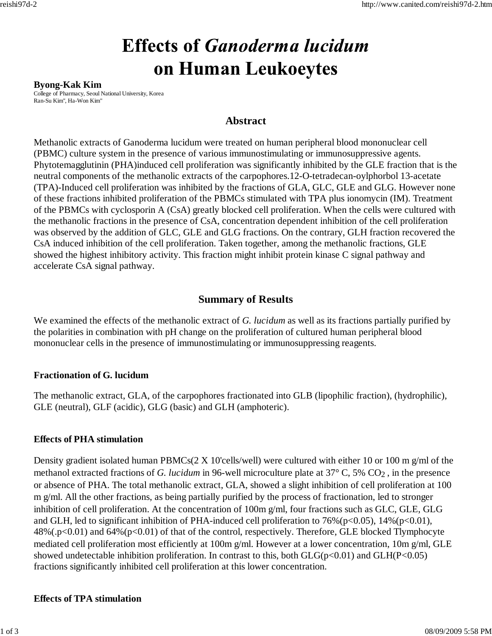# **Effects of Ganoderma lucidum** on Human Leukoeytes

#### **Byong-Kak Kim**

College of Pharmacy, Seoul National University, Korea Ran-Su Kim", Ha-Won Kim"

## **Abstract**

Methanolic extracts of Ganoderma lucidum were treated on human peripheral blood mononuclear cell (PBMC) culture system in the presence of various immunostimulating or immunosuppressive agents. Phytotemagglutinin (PHA)induced cell proliferation was significantly inhibited by the GLE fraction that is the neutral components of the methanolic extracts of the carpophores.12-O-tetradecan-oylphorbol 13-acetate (TPA)-Induced cell proliferation was inhibited by the fractions of GLA, GLC, GLE and GLG. However none of these fractions inhibited proliferation of the PBMCs stimulated with TPA plus ionomycin (IM). Treatment of the PBMCs with cyclosporin A (CsA) greatly blocked cell proliferation. When the cells were cultured with the methanolic fractions in the presence of CsA, concentration dependent inhibition of the cell proliferation was observed by the addition of GLC, GLE and GLG fractions. On the contrary, GLH fraction recovered the CsA induced inhibition of the cell proliferation. Taken together, among the methanolic fractions, GLE showed the highest inhibitory activity. This fraction might inhibit protein kinase C signal pathway and accelerate CsA signal pathway.

# **Summary of Results**

We examined the effects of the methanolic extract of *G. lucidum* as well as its fractions partially purified by the polarities in combination with pH change on the proliferation of cultured human peripheral blood mononuclear cells in the presence of immunostimulating or immunosuppressing reagents.

#### **Fractionation of G. lucidum**

The methanolic extract, GLA, of the carpophores fractionated into GLB (lipophilic fraction), (hydrophilic), GLE (neutral), GLF (acidic), GLG (basic) and GLH (amphoteric).

#### **Effects of PHA stimulation**

Density gradient isolated human PBMCs( $2 \text{ X } 10$ 'cells/well) were cultured with either 10 or 100 m g/ml of the methanol extracted fractions of *G. lucidum* in 96-well microculture plate at 37° C, 5% CO2 , in the presence or absence of PHA. The total methanolic extract, GLA, showed a slight inhibition of cell proliferation at 100 m g/ml. All the other fractions, as being partially purified by the process of fractionation, led to stronger inhibition of cell proliferation. At the concentration of 100m g/ml, four fractions such as GLC, GLE, GLG and GLH, led to significant inhibition of PHA-induced cell proliferation to 76%(p<0.05), 14%(p<0.01), 48%(.p<0.01) and 64%(p<0.01) of that of the control, respectively. Therefore, GLE blocked Tlymphocyte mediated cell proliferation most efficiently at 100m g/ml. However at a lower concentration, 10m g/ml, GLE showed undetectable inhibition proliferation. In contrast to this, both  $GLG(p<0.01)$  and  $GLH(P<0.05)$ fractions significantly inhibited cell proliferation at this lower concentration.

#### **Effects of TPA stimulation**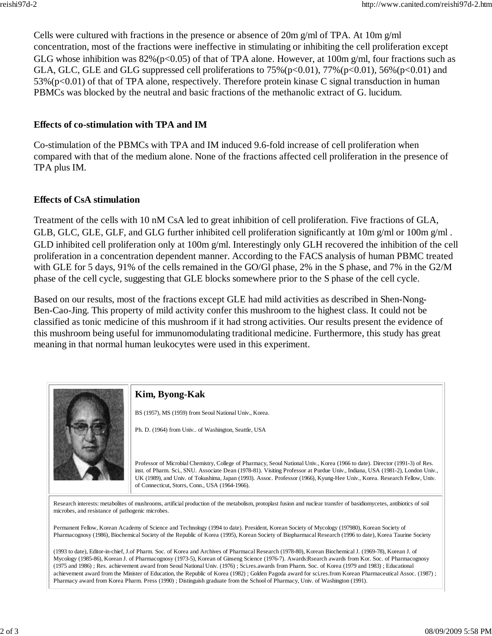Cells were cultured with fractions in the presence or absence of 20m g/ml of TPA. At 10m g/ml concentration, most of the fractions were ineffective in stimulating or inhibiting the cell proliferation except GLG whose inhibition was  $82\%$  (p<0.05) of that of TPA alone. However, at 100m g/ml, four fractions such as GLA, GLC, GLE and GLG suppressed cell proliferations to  $75\%$  (p<0.01),  $77\%$  (p<0.01),  $56\%$  (p<0.01) and  $53\%$  (p<0.01) of that of TPA alone, respectively. Therefore protein kinase C signal transduction in human PBMCs was blocked by the neutral and basic fractions of the methanolic extract of G. lucidum.

#### **Effects of co-stimulation with TPA and IM**

Co-stimulation of the PBMCs with TPA and IM induced 9.6-fold increase of cell proliferation when compared with that of the medium alone. None of the fractions affected cell proliferation in the presence of TPA plus IM.

### **Effects of CsA stimulation**

Treatment of the cells with 10 nM CsA led to great inhibition of cell proliferation. Five fractions of GLA, GLB, GLC, GLE, GLF, and GLG further inhibited cell proliferation significantly at 10m g/ml or 100m g/ml. GLD inhibited cell proliferation only at 100m g/ml. Interestingly only GLH recovered the inhibition of the cell proliferation in a concentration dependent manner. According to the FACS analysis of human PBMC treated with GLE for 5 days, 91% of the cells remained in the GO/Gl phase, 2% in the S phase, and 7% in the G2/M phase of the cell cycle, suggesting that GLE blocks somewhere prior to the S phase of the cell cycle.

Based on our results, most of the fractions except GLE had mild activities as described in Shen-Nong-Ben-Cao-Jing. This property of mild activity confer this mushroom to the highest class. It could not be classified as tonic medicine of this mushroom if it had strong activities. Our results present the evidence of this mushroom being useful for immunomodulating traditional medicine. Furthermore, this study has great meaning in that normal human leukocytes were used in this experiment.



(1993 to date), Editor-in-chief, J.of Pharm. Soc. of Korea and Archives of Pharmacal Research (1978-80), Korean Biochemical J. (1969-78), Korean J. of Mycology (1985-86), Korean J. of Pharmacognosy (1973-5), Korean of Ginseng Science (1976-7). Awards:Rsearch awards from Kor. Soc. of Pharmacognosy (1975 and 1986) ; Res. achievement award from Seoul National Univ. (1976) ; Sci.res.awards from Pharm. Soc. of Korea (1979 and 1983) ; Educational achievement award from the Minister of Education, the Republic of Korea (1982) ; Golden Pagoda award for sci.res.from Korean Pharmaceutical Assoc. (1987) ; Pharmacy award from Korea Pharm. Press (1990) ; Distinguish graduate from the School of Pharmacy, Univ. of Washington (1991).